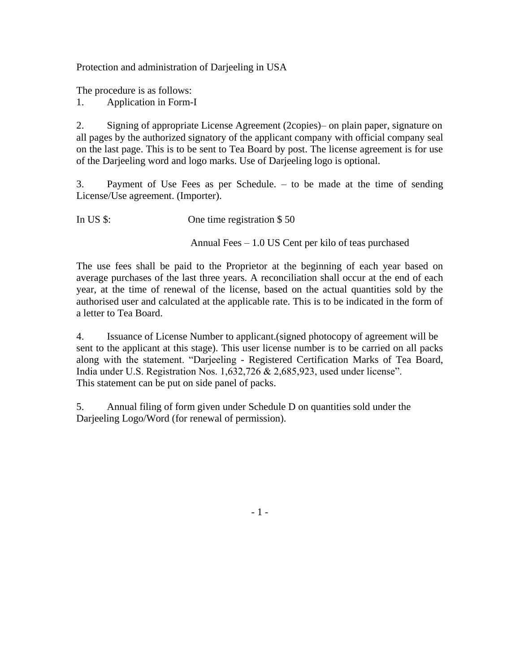Protection and administration of Darjeeling in USA

The procedure is as follows:

1. Application in Form-I

2. Signing of appropriate License Agreement (2copies)– on plain paper, signature on all pages by the authorized signatory of the applicant company with official company seal on the last page. This is to be sent to Tea Board by post. The license agreement is for use of the Darjeeling word and logo marks. Use of Darjeeling logo is optional.

3. Payment of Use Fees as per Schedule. – to be made at the time of sending License/Use agreement. (Importer).

In US \$: One time registration \$50

Annual Fees – 1.0 US Cent per kilo of teas purchased

The use fees shall be paid to the Proprietor at the beginning of each year based on average purchases of the last three years. A reconciliation shall occur at the end of each year, at the time of renewal of the license, based on the actual quantities sold by the authorised user and calculated at the applicable rate. This is to be indicated in the form of a letter to Tea Board.

4. Issuance of License Number to applicant.(signed photocopy of agreement will be sent to the applicant at this stage). This user license number is to be carried on all packs along with the statement. "Darjeeling - Registered Certification Marks of Tea Board, India under U.S. Registration Nos. 1,632,726 & 2,685,923, used under license". This statement can be put on side panel of packs.

5. Annual filing of form given under Schedule D on quantities sold under the Darjeeling Logo/Word (for renewal of permission).

- 1 -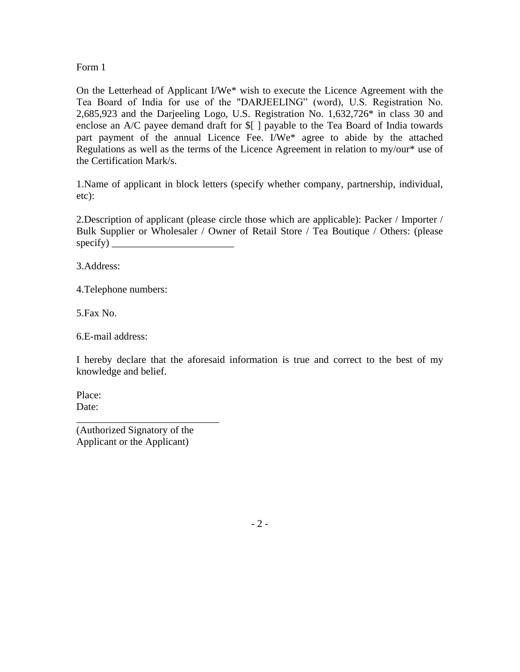Form 1

On the Letterhead of Applicant I/We\* wish to execute the Licence Agreement with the Tea Board of India for use of the "DARJEELING" (word), U.S. Registration No. 2,685,923 and the Darjeeling Logo, U.S. Registration No. 1,632,726\* in class 30 and enclose an A/C payee demand draft for \$[ ] payable to the Tea Board of India towards part payment of the annual Licence Fee. I/We\* agree to abide by the attached Regulations as well as the terms of the Licence Agreement in relation to my/our\* use of the Certification Mark/s.

1.Name of applicant in block letters (specify whether company, partnership, individual, etc):

2.Description of applicant (please circle those which are applicable): Packer / Importer / Bulk Supplier or Wholesaler / Owner of Retail Store / Tea Boutique / Others: (please  $specify)$ 

3.Address:

4.Telephone numbers:

5.Fax No.

6.E-mail address:

I hereby declare that the aforesaid information is true and correct to the best of my knowledge and belief.

Place: Date:

(Authorized Signatory of the Applicant or the Applicant)

\_\_\_\_\_\_\_\_\_\_\_\_\_\_\_\_\_\_\_\_\_\_\_\_\_\_\_\_

 $-2-$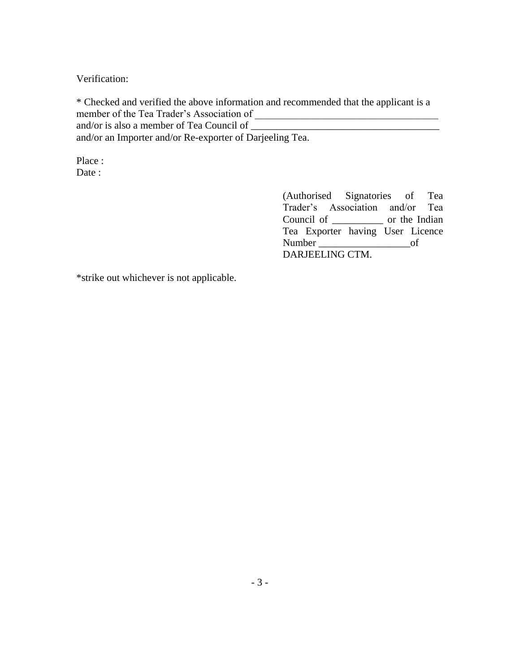Verification:

\* Checked and verified the above information and recommended that the applicant is a member of the Tea Trader's Association of and/or is also a member of Tea Council of and/or an Importer and/or Re-exporter of Darjeeling Tea.

Place : Date :

> (Authorised Signatories of Tea Trader's Association and/or Tea Council of \_\_\_\_\_\_\_\_\_\_ or the Indian Tea Exporter having User Licence Number \_\_\_\_\_\_\_\_\_\_\_\_\_\_\_\_\_\_of DARJEELING CTM.

\*strike out whichever is not applicable.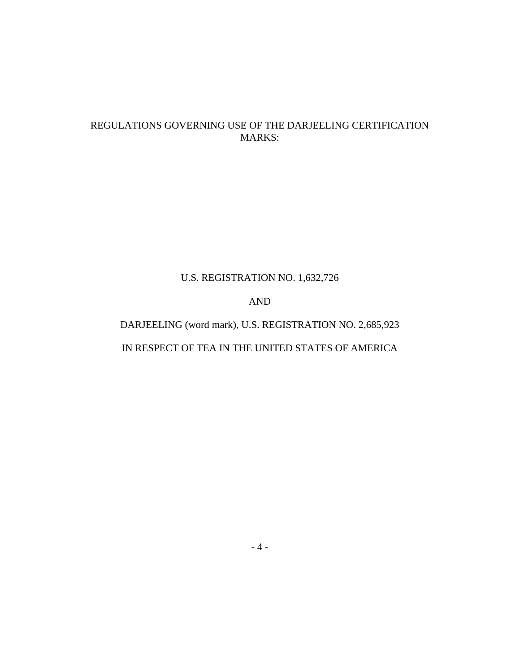# REGULATIONS GOVERNING USE OF THE DARJEELING CERTIFICATION MARKS:

# U.S. REGISTRATION NO. 1,632,726

# AND

# DARJEELING (word mark), U.S. REGISTRATION NO. 2,685,923 IN RESPECT OF TEA IN THE UNITED STATES OF AMERICA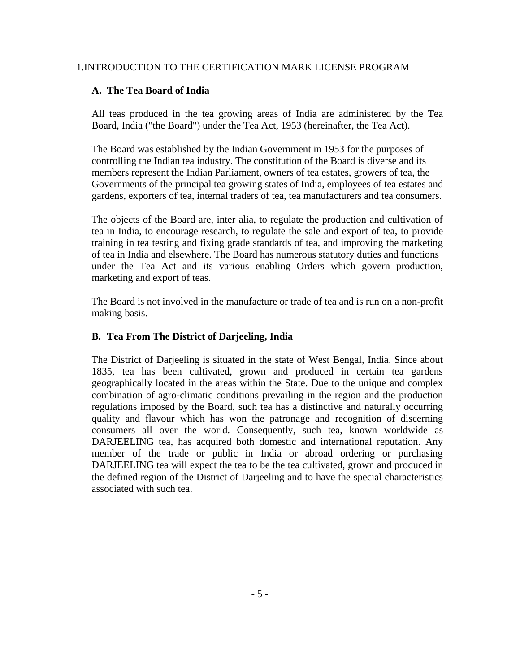## 1.INTRODUCTION TO THE CERTIFICATION MARK LICENSE PROGRAM

## **A. The Tea Board of India**

All teas produced in the tea growing areas of India are administered by the Tea Board, India ("the Board") under the Tea Act, 1953 (hereinafter, the Tea Act).

The Board was established by the Indian Government in 1953 for the purposes of controlling the Indian tea industry. The constitution of the Board is diverse and its members represent the Indian Parliament, owners of tea estates, growers of tea, the Governments of the principal tea growing states of India, employees of tea estates and gardens, exporters of tea, internal traders of tea, tea manufacturers and tea consumers.

The objects of the Board are, inter alia, to regulate the production and cultivation of tea in India, to encourage research, to regulate the sale and export of tea, to provide training in tea testing and fixing grade standards of tea, and improving the marketing of tea in India and elsewhere. The Board has numerous statutory duties and functions under the Tea Act and its various enabling Orders which govern production, marketing and export of teas.

The Board is not involved in the manufacture or trade of tea and is run on a non-profit making basis.

## **B. Tea From The District of Darjeeling, India**

The District of Darjeeling is situated in the state of West Bengal, India. Since about 1835, tea has been cultivated, grown and produced in certain tea gardens geographically located in the areas within the State. Due to the unique and complex combination of agro-climatic conditions prevailing in the region and the production regulations imposed by the Board, such tea has a distinctive and naturally occurring quality and flavour which has won the patronage and recognition of discerning consumers all over the world. Consequently, such tea, known worldwide as DARJEELING tea, has acquired both domestic and international reputation. Any member of the trade or public in India or abroad ordering or purchasing DARJEELING tea will expect the tea to be the tea cultivated, grown and produced in the defined region of the District of Darjeeling and to have the special characteristics associated with such tea.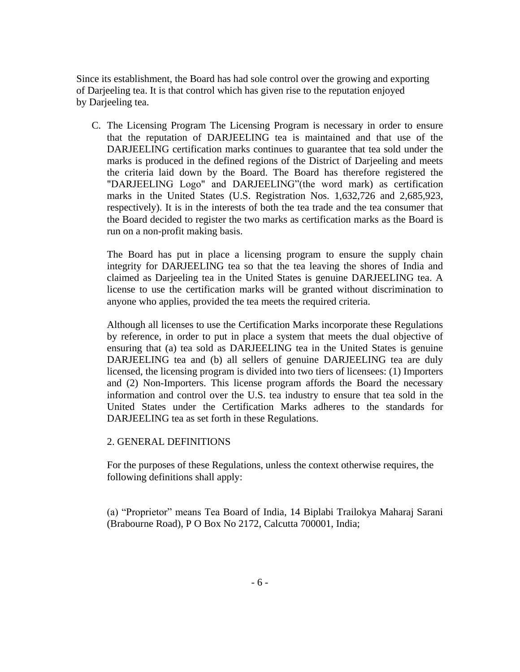Since its establishment, the Board has had sole control over the growing and exporting of Darjeeling tea. It is that control which has given rise to the reputation enjoyed by Darjeeling tea.

C. The Licensing Program The Licensing Program is necessary in order to ensure that the reputation of DARJEELING tea is maintained and that use of the DARJEELING certification marks continues to guarantee that tea sold under the marks is produced in the defined regions of the District of Darjeeling and meets the criteria laid down by the Board. The Board has therefore registered the "DARJEELING Logo" and DARJEELING"(the word mark) as certification marks in the United States (U.S. Registration Nos. 1,632,726 and 2,685,923, respectively). It is in the interests of both the tea trade and the tea consumer that the Board decided to register the two marks as certification marks as the Board is run on a non-profit making basis.

The Board has put in place a licensing program to ensure the supply chain integrity for DARJEELING tea so that the tea leaving the shores of India and claimed as Darjeeling tea in the United States is genuine DARJEELING tea. A license to use the certification marks will be granted without discrimination to anyone who applies, provided the tea meets the required criteria.

Although all licenses to use the Certification Marks incorporate these Regulations by reference, in order to put in place a system that meets the dual objective of ensuring that (a) tea sold as DARJEELING tea in the United States is genuine DARJEELING tea and (b) all sellers of genuine DARJEELING tea are duly licensed, the licensing program is divided into two tiers of licensees: (1) Importers and (2) Non-Importers. This license program affords the Board the necessary information and control over the U.S. tea industry to ensure that tea sold in the United States under the Certification Marks adheres to the standards for DARJEELING tea as set forth in these Regulations.

#### 2. GENERAL DEFINITIONS

For the purposes of these Regulations, unless the context otherwise requires, the following definitions shall apply:

(a) "Proprietor" means Tea Board of India, 14 Biplabi Trailokya Maharaj Sarani (Brabourne Road), P O Box No 2172, Calcutta 700001, India;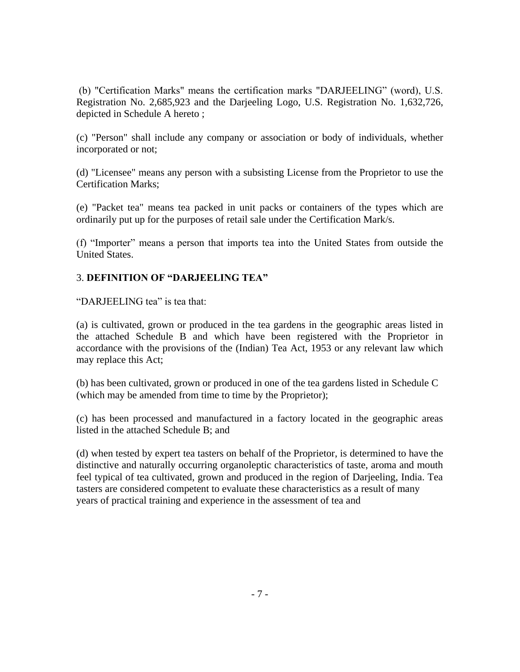(b) "Certification Marks" means the certification marks "DARJEELING" (word), U.S. Registration No. 2,685,923 and the Darjeeling Logo, U.S. Registration No. 1,632,726, depicted in Schedule A hereto ;

(c) "Person" shall include any company or association or body of individuals, whether incorporated or not;

(d) "Licensee" means any person with a subsisting License from the Proprietor to use the Certification Marks;

(e) "Packet tea" means tea packed in unit packs or containers of the types which are ordinarily put up for the purposes of retail sale under the Certification Mark/s.

(f) "Importer" means a person that imports tea into the United States from outside the United States.

# 3. **DEFINITION OF "DARJEELING TEA"**

"DARJEELING tea" is tea that:

(a) is cultivated, grown or produced in the tea gardens in the geographic areas listed in the attached Schedule B and which have been registered with the Proprietor in accordance with the provisions of the (Indian) Tea Act, 1953 or any relevant law which may replace this Act;

(b) has been cultivated, grown or produced in one of the tea gardens listed in Schedule C (which may be amended from time to time by the Proprietor);

(c) has been processed and manufactured in a factory located in the geographic areas listed in the attached Schedule B; and

(d) when tested by expert tea tasters on behalf of the Proprietor, is determined to have the distinctive and naturally occurring organoleptic characteristics of taste, aroma and mouth feel typical of tea cultivated, grown and produced in the region of Darjeeling, India. Tea tasters are considered competent to evaluate these characteristics as a result of many years of practical training and experience in the assessment of tea and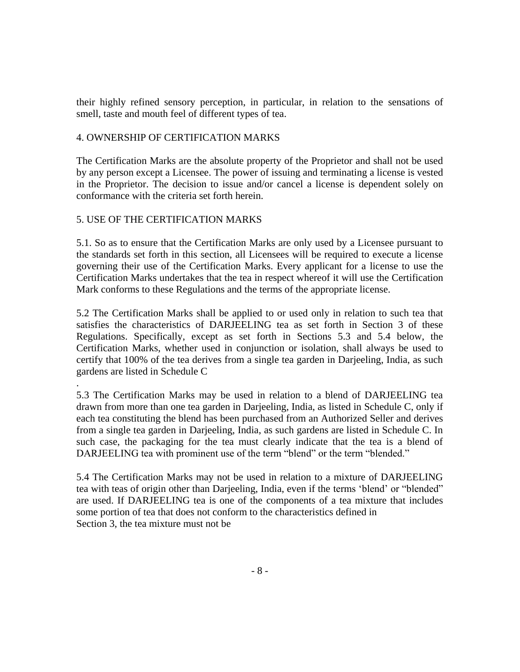their highly refined sensory perception, in particular, in relation to the sensations of smell, taste and mouth feel of different types of tea.

## 4. OWNERSHIP OF CERTIFICATION MARKS

The Certification Marks are the absolute property of the Proprietor and shall not be used by any person except a Licensee. The power of issuing and terminating a license is vested in the Proprietor. The decision to issue and/or cancel a license is dependent solely on conformance with the criteria set forth herein.

# 5. USE OF THE CERTIFICATION MARKS

5.1. So as to ensure that the Certification Marks are only used by a Licensee pursuant to the standards set forth in this section, all Licensees will be required to execute a license governing their use of the Certification Marks. Every applicant for a license to use the Certification Marks undertakes that the tea in respect whereof it will use the Certification Mark conforms to these Regulations and the terms of the appropriate license.

5.2 The Certification Marks shall be applied to or used only in relation to such tea that satisfies the characteristics of DARJEELING tea as set forth in Section 3 of these Regulations. Specifically, except as set forth in Sections 5.3 and 5.4 below, the Certification Marks, whether used in conjunction or isolation, shall always be used to certify that 100% of the tea derives from a single tea garden in Darjeeling, India, as such gardens are listed in Schedule C

. 5.3 The Certification Marks may be used in relation to a blend of DARJEELING tea drawn from more than one tea garden in Darjeeling, India, as listed in Schedule C, only if each tea constituting the blend has been purchased from an Authorized Seller and derives from a single tea garden in Darjeeling, India, as such gardens are listed in Schedule C. In such case, the packaging for the tea must clearly indicate that the tea is a blend of DARJEELING tea with prominent use of the term "blend" or the term "blended."

5.4 The Certification Marks may not be used in relation to a mixture of DARJEELING tea with teas of origin other than Darjeeling, India, even if the terms 'blend' or "blended" are used. If DARJEELING tea is one of the components of a tea mixture that includes some portion of tea that does not conform to the characteristics defined in Section 3, the tea mixture must not be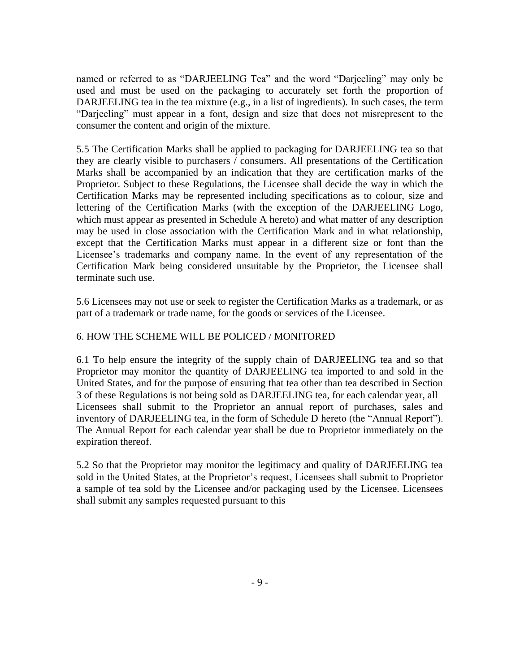named or referred to as "DARJEELING Tea" and the word "Darjeeling" may only be used and must be used on the packaging to accurately set forth the proportion of DARJEELING tea in the tea mixture (e.g., in a list of ingredients). In such cases, the term "Darjeeling" must appear in a font, design and size that does not misrepresent to the consumer the content and origin of the mixture.

5.5 The Certification Marks shall be applied to packaging for DARJEELING tea so that they are clearly visible to purchasers / consumers. All presentations of the Certification Marks shall be accompanied by an indication that they are certification marks of the Proprietor. Subject to these Regulations, the Licensee shall decide the way in which the Certification Marks may be represented including specifications as to colour, size and lettering of the Certification Marks (with the exception of the DARJEELING Logo, which must appear as presented in Schedule A hereto) and what matter of any description may be used in close association with the Certification Mark and in what relationship, except that the Certification Marks must appear in a different size or font than the Licensee's trademarks and company name. In the event of any representation of the Certification Mark being considered unsuitable by the Proprietor, the Licensee shall terminate such use.

5.6 Licensees may not use or seek to register the Certification Marks as a trademark, or as part of a trademark or trade name, for the goods or services of the Licensee.

## 6. HOW THE SCHEME WILL BE POLICED / MONITORED

6.1 To help ensure the integrity of the supply chain of DARJEELING tea and so that Proprietor may monitor the quantity of DARJEELING tea imported to and sold in the United States, and for the purpose of ensuring that tea other than tea described in Section 3 of these Regulations is not being sold as DARJEELING tea, for each calendar year, all Licensees shall submit to the Proprietor an annual report of purchases, sales and inventory of DARJEELING tea, in the form of Schedule D hereto (the "Annual Report"). The Annual Report for each calendar year shall be due to Proprietor immediately on the expiration thereof.

5.2 So that the Proprietor may monitor the legitimacy and quality of DARJEELING tea sold in the United States, at the Proprietor's request, Licensees shall submit to Proprietor a sample of tea sold by the Licensee and/or packaging used by the Licensee. Licensees shall submit any samples requested pursuant to this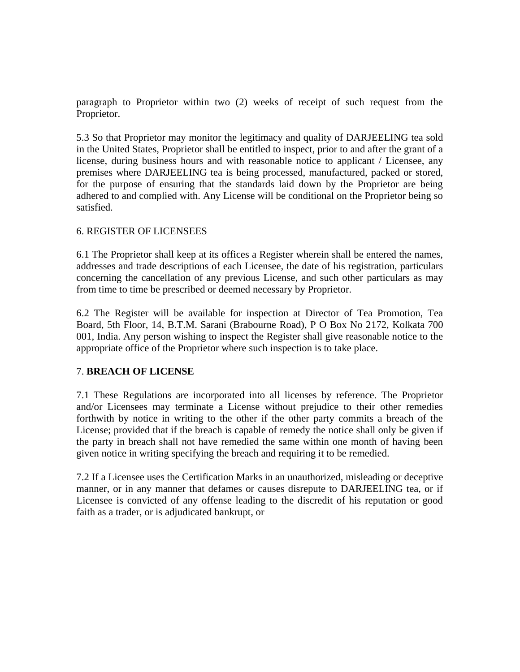paragraph to Proprietor within two (2) weeks of receipt of such request from the Proprietor.

5.3 So that Proprietor may monitor the legitimacy and quality of DARJEELING tea sold in the United States, Proprietor shall be entitled to inspect, prior to and after the grant of a license, during business hours and with reasonable notice to applicant / Licensee, any premises where DARJEELING tea is being processed, manufactured, packed or stored, for the purpose of ensuring that the standards laid down by the Proprietor are being adhered to and complied with. Any License will be conditional on the Proprietor being so satisfied.

## 6. REGISTER OF LICENSEES

6.1 The Proprietor shall keep at its offices a Register wherein shall be entered the names, addresses and trade descriptions of each Licensee, the date of his registration, particulars concerning the cancellation of any previous License, and such other particulars as may from time to time be prescribed or deemed necessary by Proprietor.

6.2 The Register will be available for inspection at Director of Tea Promotion, Tea Board, 5th Floor, 14, B.T.M. Sarani (Brabourne Road), P O Box No 2172, Kolkata 700 001, India. Any person wishing to inspect the Register shall give reasonable notice to the appropriate office of the Proprietor where such inspection is to take place.

#### 7. **BREACH OF LICENSE**

7.1 These Regulations are incorporated into all licenses by reference. The Proprietor and/or Licensees may terminate a License without prejudice to their other remedies forthwith by notice in writing to the other if the other party commits a breach of the License; provided that if the breach is capable of remedy the notice shall only be given if the party in breach shall not have remedied the same within one month of having been given notice in writing specifying the breach and requiring it to be remedied.

7.2 If a Licensee uses the Certification Marks in an unauthorized, misleading or deceptive manner, or in any manner that defames or causes disrepute to DARJEELING tea, or if Licensee is convicted of any offense leading to the discredit of his reputation or good faith as a trader, or is adjudicated bankrupt, or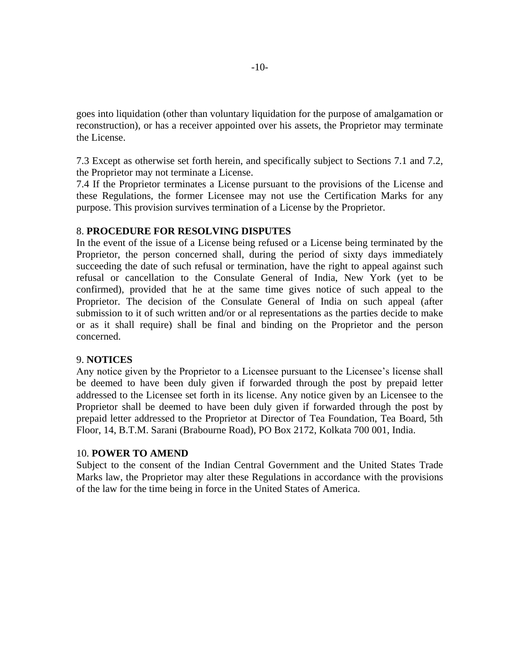goes into liquidation (other than voluntary liquidation for the purpose of amalgamation or reconstruction), or has a receiver appointed over his assets, the Proprietor may terminate the License.

7.3 Except as otherwise set forth herein, and specifically subject to Sections 7.1 and 7.2, the Proprietor may not terminate a License.

7.4 If the Proprietor terminates a License pursuant to the provisions of the License and these Regulations, the former Licensee may not use the Certification Marks for any purpose. This provision survives termination of a License by the Proprietor.

#### 8. **PROCEDURE FOR RESOLVING DISPUTES**

In the event of the issue of a License being refused or a License being terminated by the Proprietor, the person concerned shall, during the period of sixty days immediately succeeding the date of such refusal or termination, have the right to appeal against such refusal or cancellation to the Consulate General of India, New York (yet to be confirmed), provided that he at the same time gives notice of such appeal to the Proprietor. The decision of the Consulate General of India on such appeal (after submission to it of such written and/or or al representations as the parties decide to make or as it shall require) shall be final and binding on the Proprietor and the person concerned.

#### 9. **NOTICES**

Any notice given by the Proprietor to a Licensee pursuant to the Licensee's license shall be deemed to have been duly given if forwarded through the post by prepaid letter addressed to the Licensee set forth in its license. Any notice given by an Licensee to the Proprietor shall be deemed to have been duly given if forwarded through the post by prepaid letter addressed to the Proprietor at Director of Tea Foundation, Tea Board, 5th Floor, 14, B.T.M. Sarani (Brabourne Road), PO Box 2172, Kolkata 700 001, India.

#### 10. **POWER TO AMEND**

Subject to the consent of the Indian Central Government and the United States Trade Marks law, the Proprietor may alter these Regulations in accordance with the provisions of the law for the time being in force in the United States of America.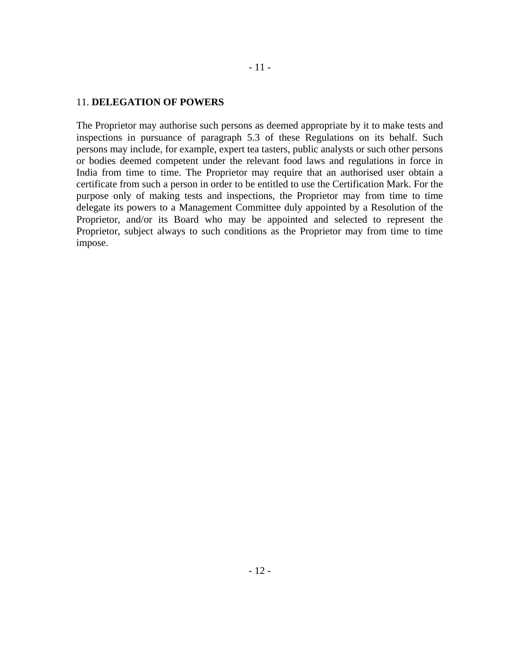#### 11. **DELEGATION OF POWERS**

The Proprietor may authorise such persons as deemed appropriate by it to make tests and inspections in pursuance of paragraph 5.3 of these Regulations on its behalf. Such persons may include, for example, expert tea tasters, public analysts or such other persons or bodies deemed competent under the relevant food laws and regulations in force in India from time to time. The Proprietor may require that an authorised user obtain a certificate from such a person in order to be entitled to use the Certification Mark. For the purpose only of making tests and inspections, the Proprietor may from time to time delegate its powers to a Management Committee duly appointed by a Resolution of the Proprietor, and/or its Board who may be appointed and selected to represent the Proprietor, subject always to such conditions as the Proprietor may from time to time impose.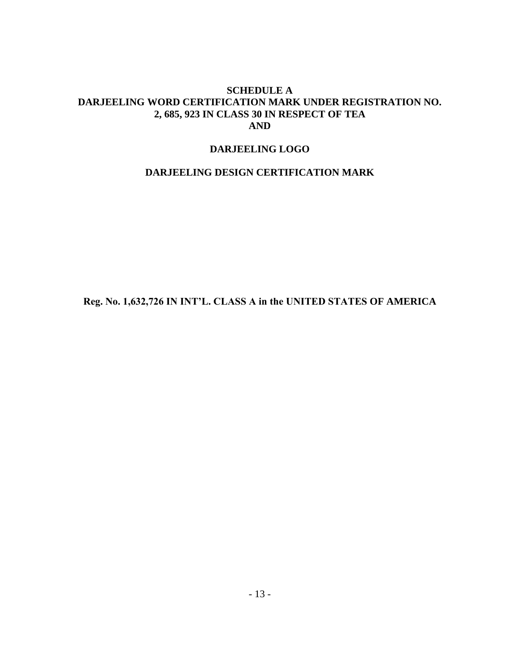## **SCHEDULE A DARJEELING WORD CERTIFICATION MARK UNDER REGISTRATION NO. 2, 685, 923 IN CLASS 30 IN RESPECT OF TEA AND**

## **DARJEELING LOGO**

# **DARJEELING DESIGN CERTIFICATION MARK**

**Reg. No. 1,632,726 IN INT'L. CLASS A in the UNITED STATES OF AMERICA**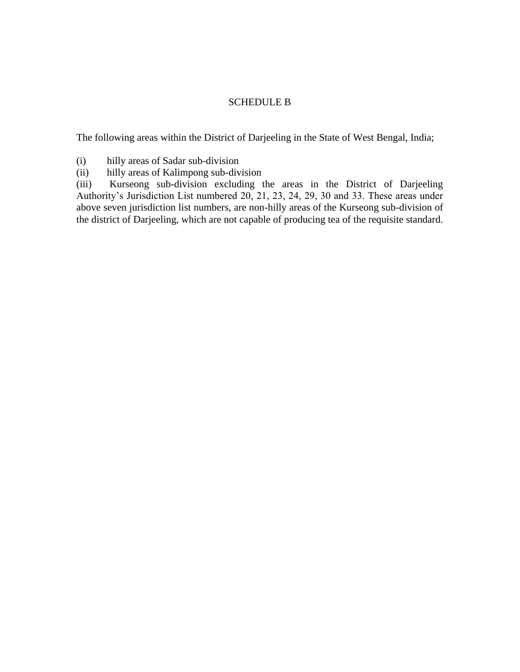## SCHEDULE B

The following areas within the District of Darjeeling in the State of West Bengal, India;

- (i) hilly areas of Sadar sub-division
- (ii) hilly areas of Kalimpong sub-division

(iii) Kurseong sub-division excluding the areas in the District of Darjeeling Authority's Jurisdiction List numbered 20, 21, 23, 24, 29, 30 and 33. These areas under above seven jurisdiction list numbers, are non-hilly areas of the Kurseong sub-division of the district of Darjeeling, which are not capable of producing tea of the requisite standard.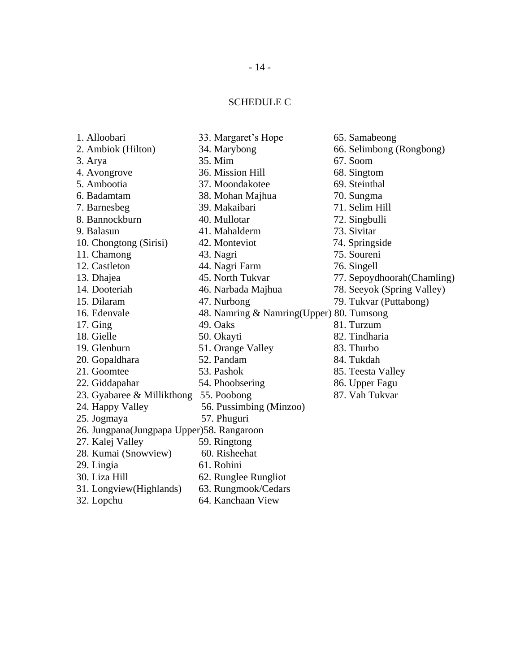# SCHEDULE C

| 1. Alloobari                                | 33. Margaret's Hope                      | 65. Samabeong               |
|---------------------------------------------|------------------------------------------|-----------------------------|
| 2. Ambiok (Hilton)                          | 34. Marybong                             | 66. Selimbong (Rongbong)    |
| 3. Arya                                     | 35. Mim                                  | 67. Soom                    |
| 4. Avongrove                                | 36. Mission Hill                         | 68. Singtom                 |
| 5. Ambootia                                 | 37. Moondakotee                          | 69. Steinthal               |
| 6. Badamtam                                 | 38. Mohan Majhua                         | 70. Sungma                  |
| 7. Barnesbeg                                | 39. Makaibari                            | 71. Selim Hill              |
| 8. Bannockburn                              | 40. Mullotar                             | 72. Singbulli               |
| 9. Balasun                                  | 41. Mahalderm                            | 73. Sivitar                 |
| 10. Chongtong (Sirisi)                      | 42. Monteviot                            | 74. Springside              |
| 11. Chamong                                 | 43. Nagri                                | 75. Soureni                 |
| 12. Castleton                               | 44. Nagri Farm                           | 76. Singell                 |
| 13. Dhajea                                  | 45. North Tukvar                         | 77. Sepoydhoorah (Chamling) |
| 14. Dooteriah                               | 46. Narbada Majhua                       | 78. Seeyok (Spring Valley)  |
| 15. Dilaram                                 | 47. Nurbong                              | 79. Tukvar (Puttabong)      |
| 16. Edenvale                                | 48. Namring & Namring(Upper) 80. Tumsong |                             |
| $17.$ Ging                                  | 49. Oaks                                 | 81. Turzum                  |
| 18. Gielle                                  | 50. Okayti                               | 82. Tindharia               |
| 19. Glenburn                                | 51. Orange Valley                        | 83. Thurbo                  |
| 20. Gopaldhara                              | 52. Pandam                               | 84. Tukdah                  |
| 21. Goomtee                                 | 53. Pashok                               | 85. Teesta Valley           |
| 22. Giddapahar                              | 54. Phoobsering                          | 86. Upper Fagu              |
| 23. Gyabaree & Millikthong 55. Poobong      |                                          | 87. Vah Tukvar              |
| 24. Happy Valley                            | 56. Pussimbing (Minzoo)                  |                             |
| 25. Jogmaya                                 | 57. Phuguri                              |                             |
| 26. Jungpana (Jungpapa Upper) 58. Rangaroon |                                          |                             |
| 27. Kalej Valley                            | 59. Ringtong                             |                             |
| 28. Kumai (Snowview)                        | 60. Risheehat                            |                             |
| 29. Lingia                                  | 61. Rohini                               |                             |
| 30. Liza Hill                               | 62. Runglee Rungliot                     |                             |
| 31. Longview(Highlands)                     | 63. Rungmook/Cedars                      |                             |
| 32. Lopchu                                  | 64. Kanchaan View                        |                             |
|                                             |                                          |                             |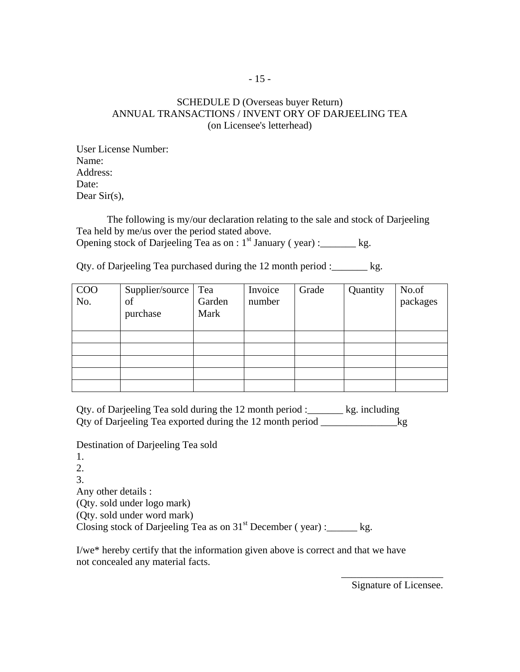## SCHEDULE D (Overseas buyer Return) ANNUAL TRANSACTIONS / INVENT ORY OF DARJEELING TEA (on Licensee's letterhead)

User License Number: Name: Address: Date: Dear Sir(s),

The following is my/our declaration relating to the sale and stock of Darjeeling Tea held by me/us over the period stated above. Opening stock of Darjeeling Tea as on :  $1<sup>st</sup>$  January ( year) : kg.

Qty. of Darjeeling Tea purchased during the 12 month period :\_\_\_\_\_\_\_ kg.

| $\rm{COO}$<br>No. | Supplier/source<br>of<br>purchase | Tea<br>Garden<br>Mark | Invoice<br>number | Grade | Quantity | No.of<br>packages |
|-------------------|-----------------------------------|-----------------------|-------------------|-------|----------|-------------------|
|                   |                                   |                       |                   |       |          |                   |
|                   |                                   |                       |                   |       |          |                   |
|                   |                                   |                       |                   |       |          |                   |
|                   |                                   |                       |                   |       |          |                   |
|                   |                                   |                       |                   |       |          |                   |

Qty. of Darjeeling Tea sold during the 12 month period :\_\_\_\_\_\_\_ kg. including Qty of Darjeeling Tea exported during the 12 month period kg

Destination of Darjeeling Tea sold

1. 2. 3. Any other details : (Qty. sold under logo mark) (Qty. sold under word mark) Closing stock of Darjeeling Tea as on  $31<sup>st</sup>$  December (year) :\_\_\_\_\_\_ kg.

I/we\* hereby certify that the information given above is correct and that we have not concealed any material facts.

> \_\_\_\_\_\_\_\_\_\_\_\_\_\_\_\_\_\_\_\_ Signature of Licensee.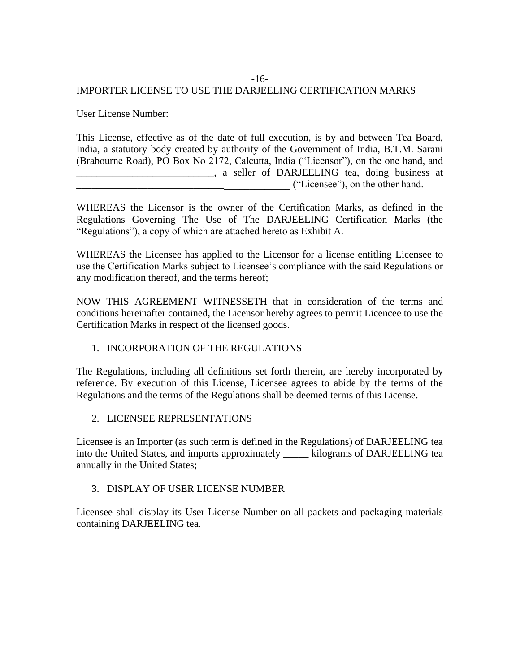## -16-

# IMPORTER LICENSE TO USE THE DARJEELING CERTIFICATION MARKS

User License Number:

This License, effective as of the date of full execution, is by and between Tea Board, India, a statutory body created by authority of the Government of India, B.T.M. Sarani (Brabourne Road), PO Box No 2172, Calcutta, India ("Licensor"), on the one hand, and \_\_\_\_\_\_\_\_\_\_\_\_\_\_\_\_\_\_\_\_\_\_\_\_\_\_\_, a seller of DARJEELING tea, doing business at \_\_\_\_\_\_\_\_\_\_\_\_\_\_\_\_\_\_\_\_\_\_\_\_\_\_\_\_\_\_\_\_\_\_\_\_\_\_\_\_\_\_ ("Licensee"), on the other hand.

WHEREAS the Licensor is the owner of the Certification Marks, as defined in the Regulations Governing The Use of The DARJEELING Certification Marks (the "Regulations"), a copy of which are attached hereto as Exhibit A.

WHEREAS the Licensee has applied to the Licensor for a license entitling Licensee to use the Certification Marks subject to Licensee's compliance with the said Regulations or any modification thereof, and the terms hereof;

NOW THIS AGREEMENT WITNESSETH that in consideration of the terms and conditions hereinafter contained, the Licensor hereby agrees to permit Licencee to use the Certification Marks in respect of the licensed goods.

# 1. INCORPORATION OF THE REGULATIONS

The Regulations, including all definitions set forth therein, are hereby incorporated by reference. By execution of this License, Licensee agrees to abide by the terms of the Regulations and the terms of the Regulations shall be deemed terms of this License.

# 2. LICENSEE REPRESENTATIONS

Licensee is an Importer (as such term is defined in the Regulations) of DARJEELING tea into the United States, and imports approximately \_\_\_\_\_ kilograms of DARJEELING tea annually in the United States;

# 3. DISPLAY OF USER LICENSE NUMBER

Licensee shall display its User License Number on all packets and packaging materials containing DARJEELING tea.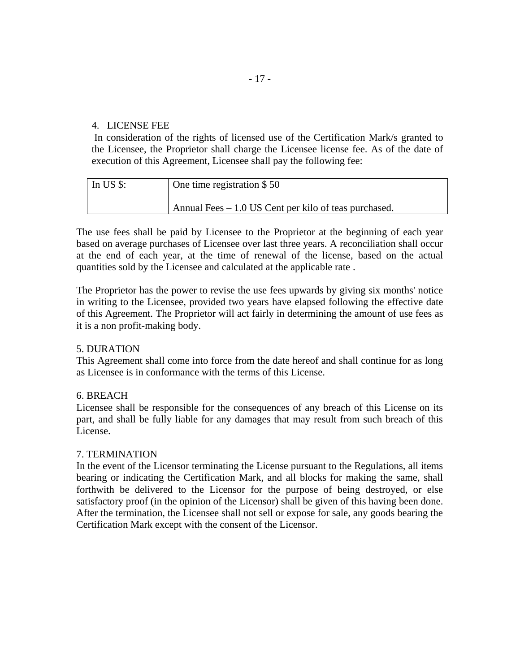#### 4. LICENSE FEE

In consideration of the rights of licensed use of the Certification Mark/s granted to the Licensee, the Proprietor shall charge the Licensee license fee. As of the date of execution of this Agreement, Licensee shall pay the following fee:

| In US $$$ : | One time registration \$50                             |
|-------------|--------------------------------------------------------|
|             | Annual Fees $-1.0$ US Cent per kilo of teas purchased. |

The use fees shall be paid by Licensee to the Proprietor at the beginning of each year based on average purchases of Licensee over last three years. A reconciliation shall occur at the end of each year, at the time of renewal of the license, based on the actual quantities sold by the Licensee and calculated at the applicable rate .

The Proprietor has the power to revise the use fees upwards by giving six months' notice in writing to the Licensee, provided two years have elapsed following the effective date of this Agreement. The Proprietor will act fairly in determining the amount of use fees as it is a non profit-making body.

#### 5. DURATION

This Agreement shall come into force from the date hereof and shall continue for as long as Licensee is in conformance with the terms of this License.

#### 6. BREACH

Licensee shall be responsible for the consequences of any breach of this License on its part, and shall be fully liable for any damages that may result from such breach of this License.

#### 7. TERMINATION

In the event of the Licensor terminating the License pursuant to the Regulations, all items bearing or indicating the Certification Mark, and all blocks for making the same, shall forthwith be delivered to the Licensor for the purpose of being destroyed, or else satisfactory proof (in the opinion of the Licensor) shall be given of this having been done. After the termination, the Licensee shall not sell or expose for sale, any goods bearing the Certification Mark except with the consent of the Licensor.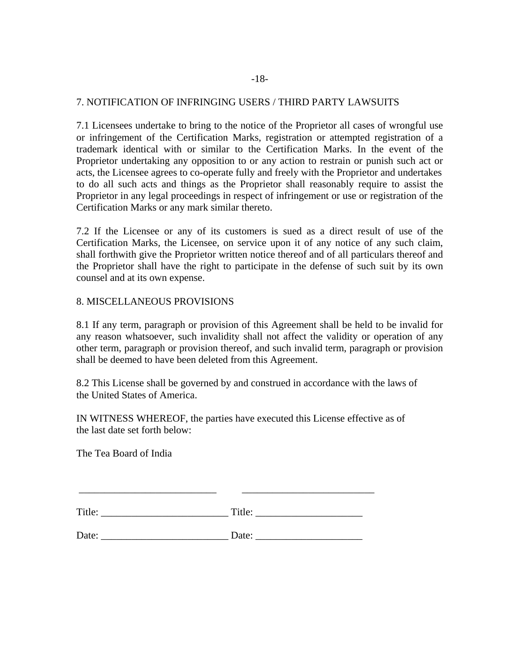#### 7. NOTIFICATION OF INFRINGING USERS / THIRD PARTY LAWSUITS

7.1 Licensees undertake to bring to the notice of the Proprietor all cases of wrongful use or infringement of the Certification Marks, registration or attempted registration of a trademark identical with or similar to the Certification Marks. In the event of the Proprietor undertaking any opposition to or any action to restrain or punish such act or acts, the Licensee agrees to co-operate fully and freely with the Proprietor and undertakes to do all such acts and things as the Proprietor shall reasonably require to assist the Proprietor in any legal proceedings in respect of infringement or use or registration of the Certification Marks or any mark similar thereto.

7.2 If the Licensee or any of its customers is sued as a direct result of use of the Certification Marks, the Licensee, on service upon it of any notice of any such claim, shall forthwith give the Proprietor written notice thereof and of all particulars thereof and the Proprietor shall have the right to participate in the defense of such suit by its own counsel and at its own expense.

#### 8. MISCELLANEOUS PROVISIONS

8.1 If any term, paragraph or provision of this Agreement shall be held to be invalid for any reason whatsoever, such invalidity shall not affect the validity or operation of any other term, paragraph or provision thereof, and such invalid term, paragraph or provision shall be deemed to have been deleted from this Agreement.

8.2 This License shall be governed by and construed in accordance with the laws of the United States of America.

IN WITNESS WHEREOF, the parties have executed this License effective as of the last date set forth below:

The Tea Board of India

| $T^{\bullet}$ | 1111 |
|---------------|------|
| <b>THE</b>    |      |

\_\_\_\_\_\_\_\_\_\_\_\_\_\_\_\_\_\_\_\_\_\_\_\_\_\_\_ \_\_\_\_\_\_\_\_\_\_\_\_\_\_\_\_\_\_\_\_\_\_\_\_\_\_

Date: \_\_\_\_\_\_\_\_\_\_\_\_\_\_\_\_\_\_\_\_\_\_\_\_\_ Date: \_\_\_\_\_\_\_\_\_\_\_\_\_\_\_\_\_\_\_\_\_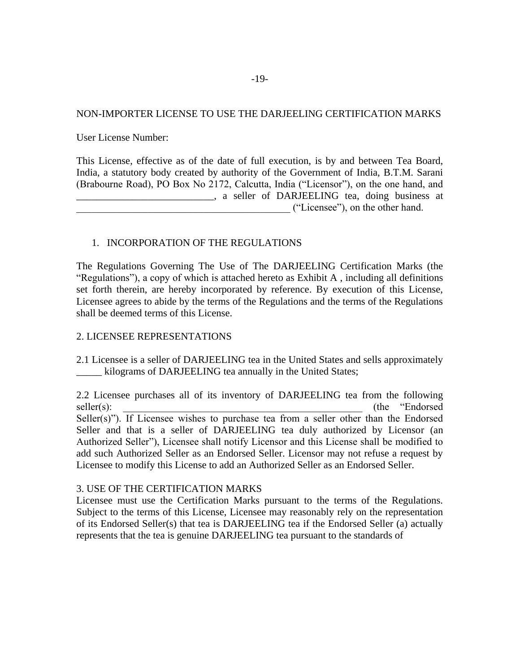#### NON-IMPORTER LICENSE TO USE THE DARJEELING CERTIFICATION MARKS

User License Number:

This License, effective as of the date of full execution, is by and between Tea Board, India, a statutory body created by authority of the Government of India, B.T.M. Sarani (Brabourne Road), PO Box No 2172, Calcutta, India ("Licensor"), on the one hand, and **Example 2.1** Seller of DARJEELING tea, doing business at \_\_\_\_\_\_\_\_\_\_\_\_\_\_\_\_\_\_\_\_\_\_\_\_\_\_\_\_\_\_\_\_\_\_\_\_\_\_\_\_\_\_ ("Licensee"), on the other hand.

#### 1. INCORPORATION OF THE REGULATIONS

The Regulations Governing The Use of The DARJEELING Certification Marks (the "Regulations"), a copy of which is attached hereto as Exhibit A , including all definitions set forth therein, are hereby incorporated by reference. By execution of this License, Licensee agrees to abide by the terms of the Regulations and the terms of the Regulations shall be deemed terms of this License.

#### 2. LICENSEE REPRESENTATIONS

2.1 Licensee is a seller of DARJEELING tea in the United States and sells approximately \_\_\_\_\_ kilograms of DARJEELING tea annually in the United States;

2.2 Licensee purchases all of its inventory of DARJEELING tea from the following seller(s):  $_{\text{selfer}}(s)$ : Seller(s)"). If Licensee wishes to purchase tea from a seller other than the Endorsed Seller and that is a seller of DARJEELING tea duly authorized by Licensor (an Authorized Seller"), Licensee shall notify Licensor and this License shall be modified to add such Authorized Seller as an Endorsed Seller. Licensor may not refuse a request by Licensee to modify this License to add an Authorized Seller as an Endorsed Seller.

#### 3. USE OF THE CERTIFICATION MARKS

Licensee must use the Certification Marks pursuant to the terms of the Regulations. Subject to the terms of this License, Licensee may reasonably rely on the representation of its Endorsed Seller(s) that tea is DARJEELING tea if the Endorsed Seller (a) actually represents that the tea is genuine DARJEELING tea pursuant to the standards of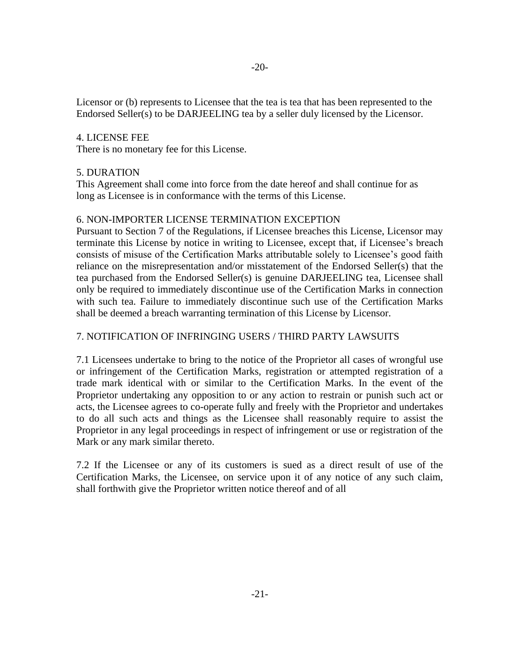Licensor or (b) represents to Licensee that the tea is tea that has been represented to the Endorsed Seller(s) to be DARJEELING tea by a seller duly licensed by the Licensor.

#### 4. LICENSE FEE

There is no monetary fee for this License.

#### 5. DURATION

This Agreement shall come into force from the date hereof and shall continue for as long as Licensee is in conformance with the terms of this License.

#### 6. NON-IMPORTER LICENSE TERMINATION EXCEPTION

Pursuant to Section 7 of the Regulations, if Licensee breaches this License, Licensor may terminate this License by notice in writing to Licensee, except that, if Licensee's breach consists of misuse of the Certification Marks attributable solely to Licensee's good faith reliance on the misrepresentation and/or misstatement of the Endorsed Seller(s) that the tea purchased from the Endorsed Seller(s) is genuine DARJEELING tea, Licensee shall only be required to immediately discontinue use of the Certification Marks in connection with such tea. Failure to immediately discontinue such use of the Certification Marks shall be deemed a breach warranting termination of this License by Licensor.

#### 7. NOTIFICATION OF INFRINGING USERS / THIRD PARTY LAWSUITS

7.1 Licensees undertake to bring to the notice of the Proprietor all cases of wrongful use or infringement of the Certification Marks, registration or attempted registration of a trade mark identical with or similar to the Certification Marks. In the event of the Proprietor undertaking any opposition to or any action to restrain or punish such act or acts, the Licensee agrees to co-operate fully and freely with the Proprietor and undertakes to do all such acts and things as the Licensee shall reasonably require to assist the Proprietor in any legal proceedings in respect of infringement or use or registration of the Mark or any mark similar thereto.

7.2 If the Licensee or any of its customers is sued as a direct result of use of the Certification Marks, the Licensee, on service upon it of any notice of any such claim, shall forthwith give the Proprietor written notice thereof and of all